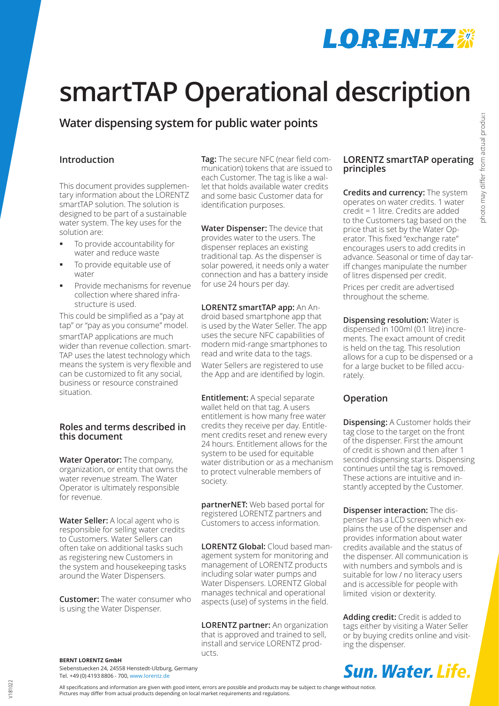## **LORENIZ #**

# **smartTAP Operational description**

## **Water dispensing system for public water points**

## **Introduction**

This document provides supplementary information about the LORENTZ smartTAP solution. The solution is designed to be part of a sustainable water system. The key uses for the solution are:

- To provide accountability for water and reduce waste
- To provide equitable use of water
- Provide mechanisms for revenue collection where shared infrastructure is used.

This could be simplified as a "pay at tap" or "pay as you consume" model.

smartTAP applications are much wider than revenue collection. smart-TAP uses the latest technology which means the system is very flexible and can be customized to fit any social, business or resource constrained situation.

## **Roles and terms described in this document**

**Water Operator:** The company, organization, or entity that owns the water revenue stream. The Water Operator is ultimately responsible for revenue.

**Water Seller:** A local agent who is responsible for selling water credits to Customers. Water Sellers can often take on additional tasks such as registering new Customers in the system and housekeeping tasks around the Water Dispensers.

**Customer:** The water consumer who is using the Water Dispenser.

**Tag:** The secure NFC (near field communication) tokens that are issued to each Customer. The tag is like a wallet that holds available water credits and some basic Customer data for identification purposes.

**Water Dispenser:** The device that provides water to the users. The dispenser replaces an existing traditional tap. As the dispenser is solar powered, it needs only a water connection and has a battery inside for use 24 hours per day.

**LORENTZ smartTAP app:** An Android based smartphone app that is used by the Water Seller. The app uses the secure NFC capabilities of modern mid-range smartphones to read and write data to the tags.

Water Sellers are registered to use the App and are identified by login.

**Entitlement:** A special separate wallet held on that tag. A users entitlement is how many free water credits they receive per day. Entitlement credits reset and renew every 24 hours. Entitlement allows for the system to be used for equitable water distribution or as a mechanism to protect vulnerable members of society.

**partnerNET:** Web based portal for registered LORENTZ partners and Customers to access information.

**LORENTZ Global:** Cloud based management system for monitoring and management of LORENTZ products including solar water pumps and Water Dispensers. LORENTZ Global manages technical and operational aspects (use) of systems in the field.

**LORENTZ partner:** An organization that is approved and trained to sell, install and service LORENTZ products.

## **LORENTZ smartTAP operating principles**

**Credits and currency:** The system operates on water credits. 1 water credit = 1 litre. Credits are added to the Customers tag based on the price that is set by the Water Operator. This fixed "exchange rate" encourages users to add credits in advance. Seasonal or time of day tariff changes manipulate the number of litres dispensed per credit.

Prices per credit are advertised throughout the scheme.

**Dispensing resolution:** Water is dispensed in 100ml (0.1 litre) increments. The exact amount of credit is held on the tag. This resolution allows for a cup to be dispensed or a for a large bucket to be filled accurately.

## **Operation**

**Dispensing:** A Customer holds their tag close to the target on the front of the dispenser. First the amount of credit is shown and then after 1 second dispensing starts. Dispensing continues until the tag is removed. These actions are intuitive and instantly accepted by the Customer.

**Dispenser interaction:** The dispenser has a LCD screen which explains the use of the dispenser and provides information about water credits available and the status of the dispenser. All communication is with numbers and symbols and is suitable for low / no literacy users and is accessible for people with limited vision or dexterity.

**Adding credit:** Credit is added to tags either by visiting a Water Seller or by buying credits online and visiting the dispenser.

**BERNT LORENTZ GmbH**

Siebenstuecken 24, 24558 Henstedt-Ulzburg, Germany Tel. +49 (0) 4193 8806 - 700, www.lorentz.de

All specifications and information are given with good intent, errors are possible and products may be subject to change without notice. Pictures may differ from actual products depending on local market requirements and regulations.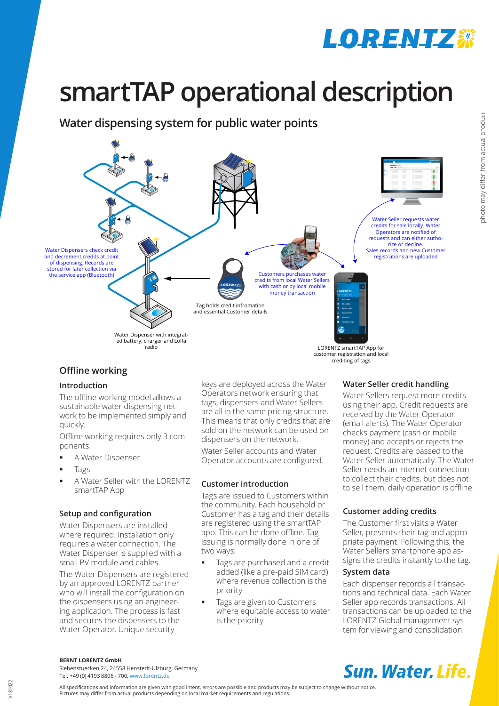

# **smartTAP operational description**

**Water dispensing system for public water points**



## **Offline working**

## **Introduction**

The offline working model allows a sustainable water dispensing network to be implemented simply and quickly.

Offline working requires only 3 components.

- A Water Dispenser
- Tags
- A Water Seller with the LORENTZ smartTAP App

## **Setup and configuration**

Water Dispensers are installed where required. Installation only requires a water connection. The Water Dispenser is supplied with a small PV module and cables.

The Water Dispensers are registered by an approved LORENTZ partner who will install the configuration on the dispensers using an engineering application. The process is fast and secures the dispensers to the Water Operator. Unique security

keys are deployed across the Water Operators network ensuring that tags, dispensers and Water Sellers are all in the same pricing structure. This means that only credits that are sold on the network can be used on dispensers on the network.

Water Seller accounts and Water Operator accounts are configured.

## **Customer introduction**

Tags are issued to Customers within the community. Each household or Customer has a tag and their details are registered using the smartTAP app. This can be done offline. Tag issuing is normally done in one of two ways:

- Tags are purchased and a credit added (like a pre-paid SIM card) where revenue collection is the priority.
- Tags are given to Customers where equitable access to water is the priority.

## **Water Seller credit handling**

Water Sellers request more credits using their app. Credit requests are received by the Water Operator (email alerts). The Water Operator checks payment (cash or mobile money) and accepts or rejects the request. Credits are passed to the Water Seller automatically. The Water Seller needs an internet connection to collect their credits, but does not to sell them, daily operation is offline.

## **Customer adding credits**

The Customer first visits a Water Seller, presents their tag and appropriate payment. Following this, the Water Sellers smartphone app assigns the credits instantly to the tag.

## **System data**

Each dispenser records all transactions and technical data. Each Water Seller app records transactions. All transactions can be uploaded to the LORENTZ Global management system for viewing and consolidation.

**BERNT LORENTZ GmbH**

Siebenstuecken 24, 24558 Henstedt-Ulzburg, Germany Tel. +49 (0) 4193 8806 - 700, www.lorentz.de

All specifications and information are given with good intent, errors are possible and products may be subject to change without notice. Pictures may differ from actual products depending on local market requirements and regulations.

## **Sun. Water, Life.**

V181022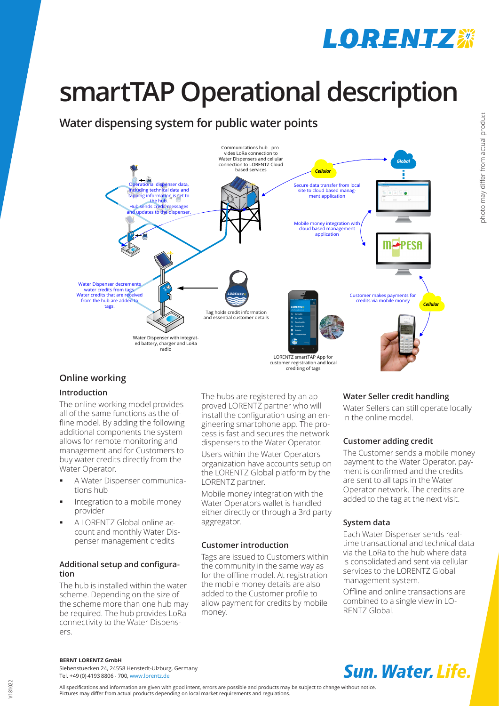## **LORENIZ※**

# **smartTAP Operational description**

## **Water dispensing system for public water points**



## **Online working**

## **Introduction**

The online working model provides all of the same functions as the offline model. By adding the following additional components the system allows for remote monitoring and management and for Customers to buy water credits directly from the Water Operator.

- A Water Dispenser communications hub
- Integration to a mobile money provider
- A LORENTZ Global online account and monthly Water Dispenser management credits

## **Additional setup and configuration**

The hub is installed within the water scheme. Depending on the size of the scheme more than one hub may be required. The hub provides LoRa connectivity to the Water Dispensers

The hubs are registered by an approved LORENTZ partner who will install the configuration using an engineering smartphone app. The process is fast and secures the network dispensers to the Water Operator.

Users within the Water Operators organization have accounts setup on the LORENTZ Global platform by the LORENTZ partner.

Mobile money integration with the Water Operators wallet is handled either directly or through a 3rd party aggregator.

## **Customer introduction**

Tags are issued to Customers within the community in the same way as for the offline model. At registration the mobile money details are also added to the Customer profile to allow payment for credits by mobile money.

## **Water Seller credit handling**

Water Sellers can still operate locally in the online model.

## **Customer adding credit**

The Customer sends a mobile money payment to the Water Operator, payment is confirmed and the credits are sent to all taps in the Water Operator network. The credits are added to the tag at the next visit.

## **System data**

Each Water Dispenser sends realtime transactional and technical data via the LoRa to the hub where data is consolidated and sent via cellular services to the LORENTZ Global management system.

Offline and online transactions are combined to a single view in LO-RENTZ Global.

**BERNT LORENTZ GmbH**

Siebenstuecken 24, 24558 Henstedt-Ulzburg, Germany Tel. +49 (0) 4193 8806 - 700, www.lorentz.de

All specifications and information are given with good intent, errors are possible and products may be subject to change without notice. Pictures may differ from actual products depending on local market requirements and regulations.